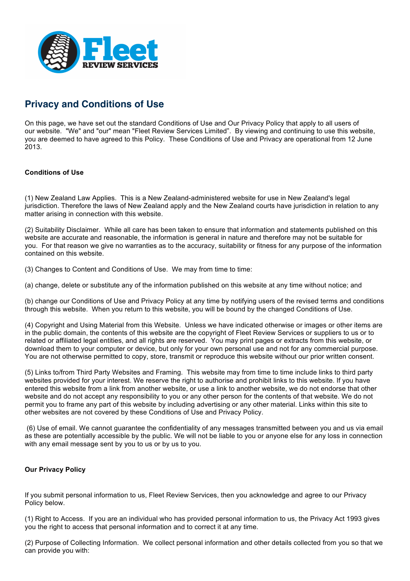

## **Privacy and Conditions of Use**

On this page, we have set out the standard Conditions of Use and Our Privacy Policy that apply to all users of our website. "We" and "our" mean "Fleet Review Services Limited". By viewing and continuing to use this website, you are deemed to have agreed to this Policy. These Conditions of Use and Privacy are operational from 12 June 2013.

## **Conditions of Use**

(1) New Zealand Law Applies. This is a New Zealand-administered website for use in New Zealand's legal jurisdiction. Therefore the laws of New Zealand apply and the New Zealand courts have jurisdiction in relation to any matter arising in connection with this website.

(2) Suitability Disclaimer. While all care has been taken to ensure that information and statements published on this website are accurate and reasonable, the information is general in nature and therefore may not be suitable for you. For that reason we give no warranties as to the accuracy, suitability or fitness for any purpose of the information contained on this website.

(3) Changes to Content and Conditions of Use. We may from time to time:

(a) change, delete or substitute any of the information published on this website at any time without notice; and

(b) change our Conditions of Use and Privacy Policy at any time by notifying users of the revised terms and conditions through this website. When you return to this website, you will be bound by the changed Conditions of Use.

(4) Copyright and Using Material from this Website. Unless we have indicated otherwise or images or other items are in the public domain, the contents of this website are the copyright of Fleet Review Services or suppliers to us or to related or affiliated legal entities, and all rights are reserved. You may print pages or extracts from this website, or download them to your computer or device, but only for your own personal use and not for any commercial purpose. You are not otherwise permitted to copy, store, transmit or reproduce this website without our prior written consent.

(5) Links to/from Third Party Websites and Framing. This website may from time to time include links to third party websites provided for your interest. We reserve the right to authorise and prohibit links to this website. If you have entered this website from a link from another website, or use a link to another website, we do not endorse that other website and do not accept any responsibility to you or any other person for the contents of that website. We do not permit you to frame any part of this website by including advertising or any other material. Links within this site to other websites are not covered by these Conditions of Use and Privacy Policy.

(6) Use of email. We cannot guarantee the confidentiality of any messages transmitted between you and us via email as these are potentially accessible by the public. We will not be liable to you or anyone else for any loss in connection with any email message sent by you to us or by us to you.

## **Our Privacy Policy**

If you submit personal information to us, Fleet Review Services, then you acknowledge and agree to our Privacy Policy below.

(1) Right to Access. If you are an individual who has provided personal information to us, the Privacy Act 1993 gives you the right to access that personal information and to correct it at any time.

(2) Purpose of Collecting Information. We collect personal information and other details collected from you so that we can provide you with: